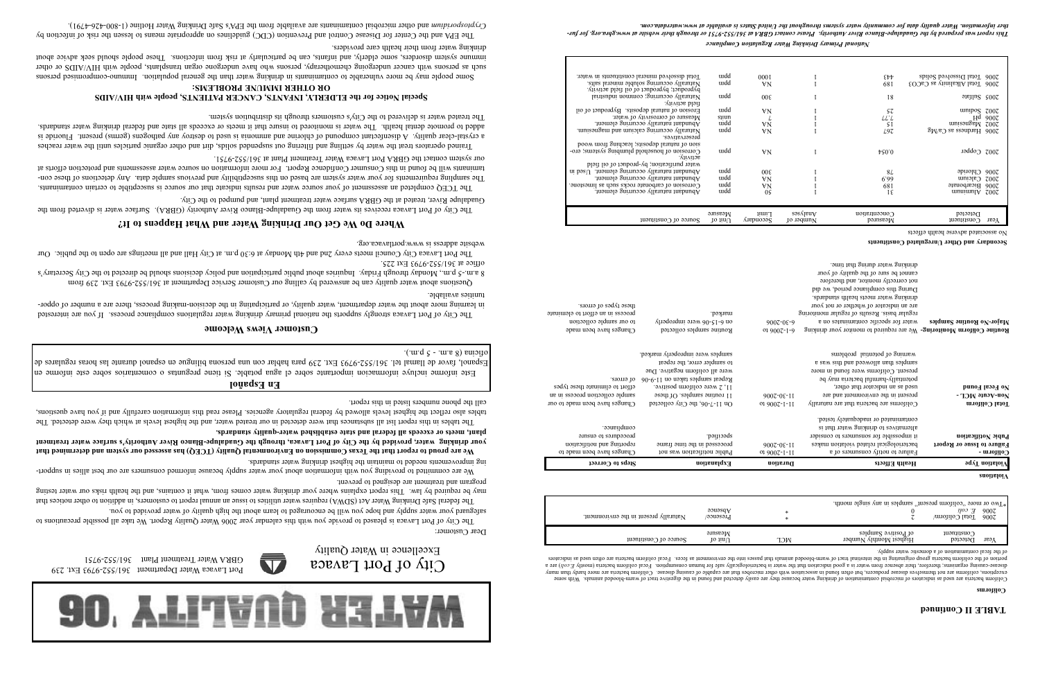

 $\overline{\mathbf{V}}$ 

Port Lavaca Water Department 361/552-9793 Ext. 239 GBRA Water Treatment Plant 361/552-9751

# **Where Do We Get Our Drinking Water and What Happens to It?**

he City of Port Lavaca receives its water from the Guadalupe-Blanco River Authority (GBRA). Surface water is diverted from the <sup>T</sup> Guadalupe River, treated at the GBRA surface water treatment plant, and pumped to the City.

The TCEQ completed an assessment of your source water and results indicate ino an source is an equitible to certain contaminants. The sampling requirements for your water system are based on this susceptibility and previous sample lata. Any detections of these contaminants will be found in this consumer Confidence Report. For more integration on source water assessments and protection efforts at our system contact the GBRA Port Lavaca Water Treatment Plant at 361/552-9751.

Trained operators the water the water by suiling out suspended solids, dirt and other organic particles until the water reaches a crystal-clear quality. A distomation and compound of chlorine and ammonia is used to vertex any pathogens (germs) present. Fluoride is standard of promote dental health. The water is monitored to fact it meets or exceeds all state and federal drinking that it and the water standards. The treated water is delivered to the City's customers through its distribution system.

The City of Port Lavaca is pleased to provide you with this calendar year 2006 Water Quality Report. We take all possible precautions to safeguard your water supply and hope you will be encouraged to learn about the high quality of water provided to you.

The federal Safe Drinking Mater Story (ADWA) requires that in the summers in the port of the increased to intial the internal report of the internal report of the internal report of the increasing to  $\alpha$  in a state of the may be required by law. This report explains where your drinking water comes from, what it contains, and the health risks our water testing program and treatment are designed to prevent.

We are committed to providing you with information about your water supply because informed consumers are our best allies in supporting improvements needed to maintain the highest drinking water standards.

Dear Customer:

The tables in this report list all substances that were detected in our treated water, and the highest levels he which they were detected. The also reflect the highest levels allowed by federal regulatory agencies. Please read this information carefully and if you have questions, call the phone numbers listed in this report.

The Port Lavaca City Council meets every 2nd and 4th Monday at 6:30 p.m. at City Hall and all meetings are open to the public. Our website address is www.portlavaca.org.

Este informe incluye informacion importante sobre el agua potable. Si tiene preguntas o comentarios sobre este informe en de Espanol, favor de llamal tel. 361/552-9793 Ext. 239 para hablar con una persona bilingue en espanol durante las horas regulares oficina  $(8 \text{ cm} \cdot \text{ s})$  - 2 p.m.).

**We are proud to report that the Texas Commission on Environmental Quality (TCEQ) has assessed our system and determined that your drinking water, provided by the City of Port Lavaca, through the Guadalupe-Blanco River Authority's surface water treatment plant, meets or exceeds all federal and state established water-quality standards.** 

# **Customer Views Welcome**

ested The City of Port Lavaca strongly supports the national primary drinking water regulations compliance process. If you are inter in learning more about the water department, water quality, or participating in the decision-making process, there are a number of opportunities available.

Questions about water quality can be answered by calling our Customer Service Department at 361/552-9793 Ext. 239 from 8 a.m.-5 p.m., Monday through Friday. Induities about public participation and policy decisions about be directed to the City Secretary's office at 361/552-9793 Ext 225.

> entics are used as indicators of the distribution the dispersion of the dispersion of the dispersion of microphode microproperty are indied microbial containers because they are are eitensed microbic Water because they are of coliform are more disease producers, but often bacteria are more more more producers, colliborations, coliforms are more producers, coliforms are more producers, collectors, coliforms are microbes that are microbes that causing organisms; therefore, their absence from water is a geould the water is bacteriologically of the man consumption. Fecal coliform bacterio (mostly E.coli) are a ention of the colitoral group are ment and the mention of the coleral animation of the collicoral passes. Fecal coliform bacteria are other indicators in the indicators in the indicators in the indicators in the environmen of the fecal contamination of a domestic water supply.

# **En Español**

# **Special Notice for the ELDERLY, INFANTS, CANCER PATIENTS, people with HIV/AIDS OR OTHER IMMUNE PROBLEMS:**

Some people may be more vulnerable to contaminants in drinking water than the general population. Immuno-compromised persons <sup>r</sup> such as persons with cancer undergoing chemotherapy, persons who have undergone organ transplants, people with HIV/AIDS or othe ce about in mune system disorders, some elderly, and infants, and infections. These people should seek advice about in the should seek advice about drinking water from their health care providers.

by The EPA and the Center for Disease Control and Prevention (CDC) guidelines on appropriate means to lessen the risk of infection and other microbial contaminants are available from the EPA's Safe Drinking Water Hotline (1-800-426-4791). *Cryptosporidium*



## **Secondary and Other Unregulated Constituents**

| Total dissolved mineral constituents in water.                                                           | uidd            | 000I                   |                        | EÞÞ                     | 2006 Total Dissolved Solids    |                       |
|----------------------------------------------------------------------------------------------------------|-----------------|------------------------|------------------------|-------------------------|--------------------------------|-----------------------|
| Naturally occurring soluble mineral salts.<br>byproduct; byproduct of oil field activity.                | uidd            | VN                     |                        | 68I                     | 2006 Total Alkalinity as CaCO3 |                       |
| Naturally occurring; common industrial<br>улитов bləfi                                                   | uidd            | 00 <sup>ε</sup>        |                        | I8                      | $91$ eyling $500$              |                       |
| Erosion of natural deposits. Byproduct of oil                                                            | uidd            | VΝ                     |                        | SΖ                      | umpos                          | Z00Z                  |
| Measure of corrosivity of water.                                                                         | suun            | L                      |                        | LLL                     | H <sup>d</sup>                 | 900Z                  |
| Abundant naturally occurring element.                                                                    | uidd            | VΝ                     |                        | -S I                    | z002 Magnetin                  |                       |
| Naturally occurring calcium and magnesium.<br>preservatives.                                             | uidd            | VN                     |                        | L97                     | $2006$ Hardness as Ca/Mg       |                       |
| sion of natural deposits; leaching from wood<br>Corrosion of household plumbing systems; ero-<br>асплиу. | uidd            | VN                     |                        | $\sqrt{20.0}$           | Cobba                          | $z$ 00 $\overline{z}$ |
| water purification; by-product of oil field<br>Abundant naturally occurring element.<br>$\mu$ pas        | uidd            | 00 <sup>ε</sup>        |                        | 84                      | $Q$ loride                     | 900Z                  |
| Abundant naturally occurring element.                                                                    | uidd            | VN                     |                        | 6.99                    | $C$ sicium                     | $z$ 00 $\overline{z}$ |
| Corrosion of carbonate rocks such as limestone.                                                          | uidd            | VΝ                     |                        | 681                     | 2006 Bicarbonate               |                       |
| Abundant naturally occurring element.                                                                    | uidd            | 0S                     |                        | īε                      | $\text{ununium}$               | Z00Z                  |
|                                                                                                          |                 |                        |                        |                         |                                |                       |
|                                                                                                          | $M$ easure      | $1$ IIIII <sup>T</sup> | səsajeuv               | $\bigcirc$ oncentration | Detected                       |                       |
| $1000$ and $1000$                                                                                        | $10 \text{ nm}$ | Secondary              | Jo 19quin <sub>N</sub> | Measured                | $10$ uən $11$ suo $\bigcirc$   | $Y$ ear               |

No associated adverse health effects

# **TABLE II Continued**

*National Primary Drinking Water Regulation Compliance*

*at www.gbra.org. for fur- This report was prepared by the Guadalupe-Blanco River Authority. Please contact GBRA at 361/552-9751 or through their website . ther information. Water quality data for community water systems throughout the United States is available at www.waterdata.com*

### **Coliforms**

| Maturally present in the environment. | 90u98dA<br>$_{\text{P}}$ resence | ×   | $\mu$ upon algorization present, samples in any single month. | уоэ д<br>Total Coliform/ | 900Z<br>900Z |
|---------------------------------------|----------------------------------|-----|---------------------------------------------------------------|--------------------------|--------------|
| $p_{\text{min}}$ of Constituent       | Measure<br>1o iinU               | NCГ | of Positive Samples<br>Highest Monthly Number                 | 1030111500<br>Detected   | теэд         |

### **Violations**

| Steps to Correct                                                                                                  | Explanation                                                                                                                                                                                                                                   | Duration                              | Health Effects                                                                                                                                                                                                                                                               | <b>9qyT</b> noitsloiV                                      |
|-------------------------------------------------------------------------------------------------------------------|-----------------------------------------------------------------------------------------------------------------------------------------------------------------------------------------------------------------------------------------------|---------------------------------------|------------------------------------------------------------------------------------------------------------------------------------------------------------------------------------------------------------------------------------------------------------------------------|------------------------------------------------------------|
| Changes have been made to                                                                                         | Public notification was not                                                                                                                                                                                                                   | $01900Z-I-II$                         | Failure to notify consumers of a                                                                                                                                                                                                                                             | Coliform -                                                 |
| compliance.<br>procedures to ensure<br>reporting and notification                                                 | specified.<br>processed in the time frame                                                                                                                                                                                                     | 9007-0£-11                            | contaminated or inadequately tested.<br>alternatives to drinking water that is<br>is impossible for sonsumers to consider<br>bacteriological related violation makes                                                                                                         | Pubic Notification<br><b>Failure to Issue or Report</b>    |
| of errors.<br>effort to eliminate these types<br>sample collection process in an<br>Changes have been made to our | samples were improperly marked.<br>to sampler error, the repeat<br>were all coliform negative. Due<br>Repeat samples taken on $11-9-06$<br>11, 2 were coliform positive.<br>11 routine samples. Of these<br>On $11-7-06$ , the City collected | $900Z - 0E - 1I$<br>$019007 - 1 - 11$ | warning of potential problems<br>samples than alloweed and this was a<br>present. Coliforms were found in more<br>potentially-harmful bacteria may be<br>used as an indicator that other,<br>present in the environment and are<br>Coliforms are bacteria that are naturally | No Fecal Found<br>Non-Acute MCL -<br><b>Total Coliform</b> |
| these types of errors.<br>process in an effort to eleminate<br>to our sample collection<br>Changes have been made | marked.<br>on 6-15-06 were improperly<br>Routine samples collected                                                                                                                                                                            | $900Z - 0E - 9$<br>01 9007-1-9        | drinking water meets health standards.<br>are an indicator of whether or not your<br>regular basis. Results of regular monitoring<br>water for specific contaminates on a<br>Routine Coliform Monitoring- We are required to monitor your drinking                           | Major-No Routine Samples                                   |

During this compliance period, we did not correctly monitor, and therefore cannot pe sure of the quality of your drinking water during that time.